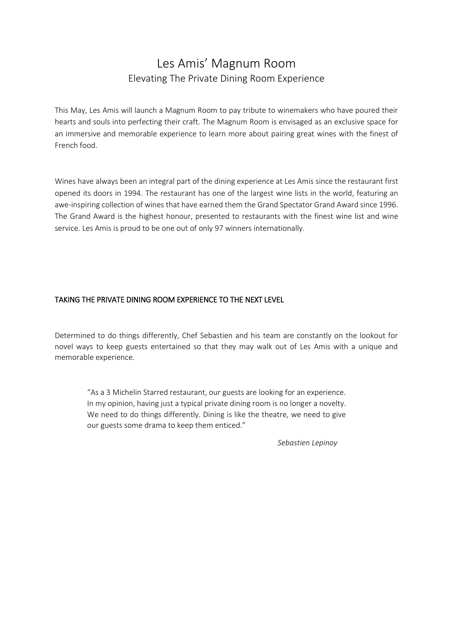## Les Amis' Magnum Room Elevating The Private Dining Room Experience

This May, Les Amis will launch a Magnum Room to pay tribute to winemakers who have poured their hearts and souls into perfecting their craft. The Magnum Room is envisaged as an exclusive space for an immersive and memorable experience to learn more about pairing great wines with the finest of French food.

Wines have always been an integral part of the dining experience at Les Amis since the restaurant first opened its doors in 1994. The restaurant has one of the largest wine lists in the world, featuring an awe-inspiring collection of wines that have earned them the Grand Spectator Grand Award since 1996. The Grand Award is the highest honour, presented to restaurants with the finest wine list and wine service. Les Amis is proud to be one out of only 97 winners internationally.

## TAKING THE PRIVATE DINING ROOM EXPERIENCE TO THE NEXT LEVEL

Determined to do things differently, Chef Sebastien and his team are constantly on the lookout for novel ways to keep guests entertained so that they may walk out of Les Amis with a unique and memorable experience.

"As a 3 Michelin Starred restaurant, our guests are looking for an experience. In my opinion, having just a typical private dining room is no longer a novelty. We need to do things differently. Dining is like the theatre, we need to give our guests some drama to keep them enticed."

*Sebastien Lepinoy*